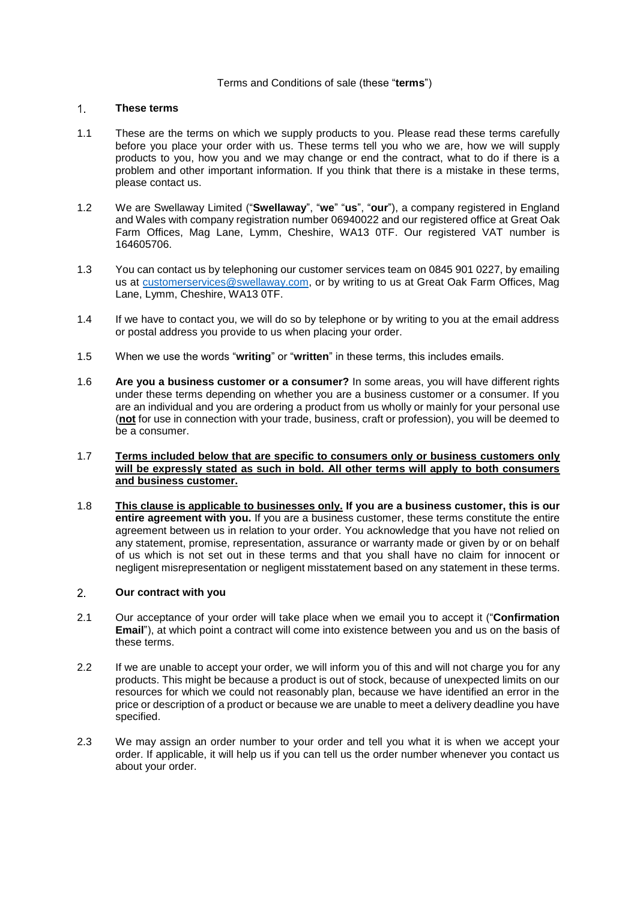## Terms and Conditions of sale (these "**terms**")

### $1<sup>1</sup>$ **These terms**

- 1.1 These are the terms on which we supply products to you. Please read these terms carefully before you place your order with us. These terms tell you who we are, how we will supply products to you, how you and we may change or end the contract, what to do if there is a problem and other important information. If you think that there is a mistake in these terms, please contact us.
- 1.2 We are Swellaway Limited ("**Swellaway**", "**we**" "**us**", "**our**"), a company registered in England and Wales with company registration number 06940022 and our registered office at Great Oak Farm Offices, Mag Lane, Lymm, Cheshire, WA13 0TF. Our registered VAT number is 164605706.
- 1.3 You can contact us by telephoning our customer services team on 0845 901 0227, by emailing us at [customerservices@swellaway.com,](mailto:customerservices@swellaway.com) or by writing to us at Great Oak Farm Offices, Mag Lane, Lymm, Cheshire, WA13 0TF.
- 1.4 If we have to contact you, we will do so by telephone or by writing to you at the email address or postal address you provide to us when placing your order.
- 1.5 When we use the words "**writing**" or "**written**" in these terms, this includes emails.
- 1.6 **Are you a business customer or a consumer?** In some areas, you will have different rights under these terms depending on whether you are a business customer or a consumer. If you are an individual and you are ordering a product from us wholly or mainly for your personal use (**not** for use in connection with your trade, business, craft or profession), you will be deemed to be a consumer.
- 1.7 **Terms included below that are specific to consumers only or business customers only will be expressly stated as such in bold. All other terms will apply to both consumers and business customer.**
- 1.8 **This clause is applicable to businesses only. If you are a business customer, this is our entire agreement with you.** If you are a business customer, these terms constitute the entire agreement between us in relation to your order. You acknowledge that you have not relied on any statement, promise, representation, assurance or warranty made or given by or on behalf of us which is not set out in these terms and that you shall have no claim for innocent or negligent misrepresentation or negligent misstatement based on any statement in these terms.

## $2<sup>1</sup>$ **Our contract with you**

- 2.1 Our acceptance of your order will take place when we email you to accept it ("**Confirmation Email**"), at which point a contract will come into existence between you and us on the basis of these terms.
- 2.2 If we are unable to accept your order, we will inform you of this and will not charge you for any products. This might be because a product is out of stock, because of unexpected limits on our resources for which we could not reasonably plan, because we have identified an error in the price or description of a product or because we are unable to meet a delivery deadline you have specified.
- 2.3 We may assign an order number to your order and tell you what it is when we accept your order. If applicable, it will help us if you can tell us the order number whenever you contact us about your order.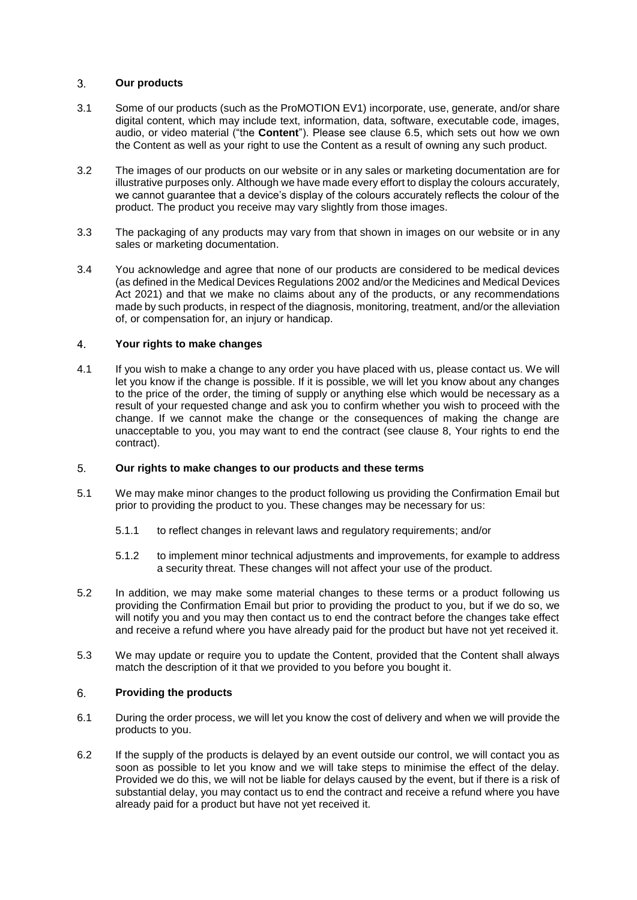### $3.$ **Our products**

- <span id="page-1-0"></span>3.1 Some of our products (such as the ProMOTION EV1) incorporate, use, generate, and/or share digital content, which may include text, information, data, software, executable code, images, audio, or video material ("the **Content**"). Please see clause [6.5,](#page-2-0) which sets out how we own the Content as well as your right to use the Content as a result of owning any such product.
- 3.2 The images of our products on our website or in any sales or marketing documentation are for illustrative purposes only. Although we have made every effort to display the colours accurately, we cannot guarantee that a device's display of the colours accurately reflects the colour of the product. The product you receive may vary slightly from those images.
- 3.3 The packaging of any products may vary from that shown in images on our website or in any sales or marketing documentation.
- 3.4 You acknowledge and agree that none of our products are considered to be medical devices (as defined in the Medical Devices Regulations 2002 and/or the Medicines and Medical Devices Act 2021) and that we make no claims about any of the products, or any recommendations made by such products, in respect of the diagnosis, monitoring, treatment, and/or the alleviation of, or compensation for, an injury or handicap.

### $\overline{4}$ **Your rights to make changes**

4.1 If you wish to make a change to any order you have placed with us, please contact us. We will let you know if the change is possible. If it is possible, we will let you know about any changes to the price of the order, the timing of supply or anything else which would be necessary as a result of your requested change and ask you to confirm whether you wish to proceed with the change. If we cannot make the change or the consequences of making the change are unacceptable to you, you may want to end the contract (see clause [8,](#page-3-0) Your rights to end the contract).

## <span id="page-1-1"></span>5. **Our rights to make changes to our products and these terms**

- 5.1 We may make minor changes to the product following us providing the Confirmation Email but prior to providing the product to you. These changes may be necessary for us:
	- 5.1.1 to reflect changes in relevant laws and regulatory requirements; and/or
	- 5.1.2 to implement minor technical adjustments and improvements, for example to address a security threat. These changes will not affect your use of the product.
- <span id="page-1-2"></span>5.2 In addition, we may make some material changes to these terms or a product following us providing the Confirmation Email but prior to providing the product to you, but if we do so, we will notify you and you may then contact us to end the contract before the changes take effect and receive a refund where you have already paid for the product but have not yet received it.
- 5.3 We may update or require you to update the Content, provided that the Content shall always match the description of it that we provided to you before you bought it.

### 6. **Providing the products**

- 6.1 During the order process, we will let you know the cost of delivery and when we will provide the products to you.
- 6.2 If the supply of the products is delayed by an event outside our control, we will contact you as soon as possible to let you know and we will take steps to minimise the effect of the delay. Provided we do this, we will not be liable for delays caused by the event, but if there is a risk of substantial delay, you may contact us to end the contract and receive a refund where you have already paid for a product but have not yet received it.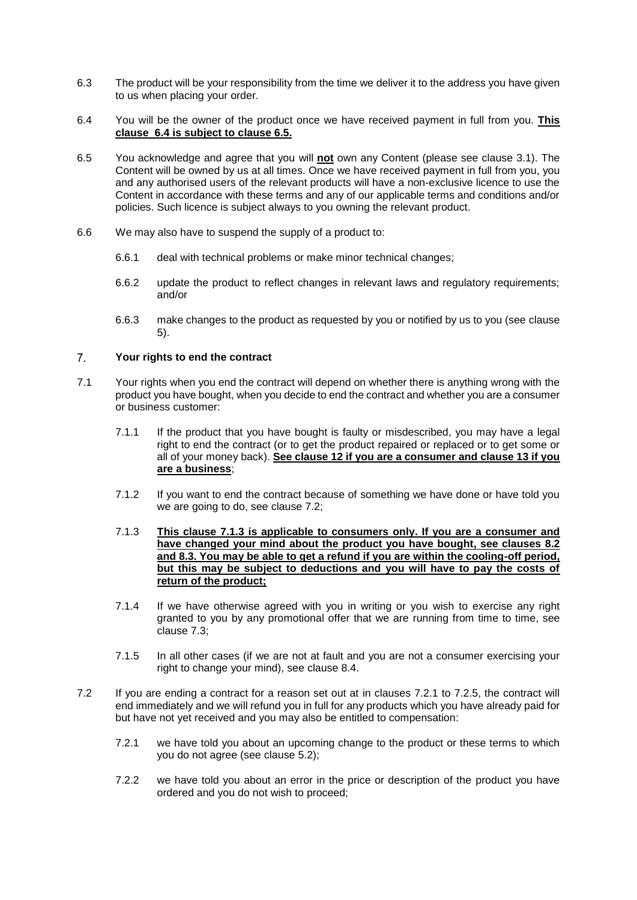- 6.3 The product will be your responsibility from the time we deliver it to the address you have given to us when placing your order.
- <span id="page-2-1"></span>6.4 You will be the owner of the product once we have received payment in full from you. **This clause [6.4](#page-2-1) is subject to clause [6.5.](#page-2-0)**
- <span id="page-2-0"></span>6.5 You acknowledge and agree that you will **not** own any Content (please see clause [3.1\)](#page-1-0). The Content will be owned by us at all times. Once we have received payment in full from you, you and any authorised users of the relevant products will have a non-exclusive licence to use the Content in accordance with these terms and any of our applicable terms and conditions and/or policies. Such licence is subject always to you owning the relevant product.
- 6.6 We may also have to suspend the supply of a product to:
	- 6.6.1 deal with technical problems or make minor technical changes;
	- 6.6.2 update the product to reflect changes in relevant laws and regulatory requirements; and/or
	- 6.6.3 make changes to the product as requested by you or notified by us to you (see clause [5\)](#page-1-1).

## <span id="page-2-5"></span> $\overline{7}$ . **Your rights to end the contract**

- <span id="page-2-3"></span>7.1 Your rights when you end the contract will depend on whether there is anything wrong with the product you have bought, when you decide to end the contract and whether you are a consumer or business customer:
	- 7.1.1 If the product that you have bought is faulty or misdescribed, you may have a legal right to end the contract (or to get the product repaired or replaced or to get some or all of your money back). **See clause [12](#page-4-0) if you are a consumer and clause [13](#page-5-0) if you are a business**;
	- 7.1.2 If you want to end the contract because of something we have done or have told you we are going to do, see clause [7.2;](#page-2-2)
	- 7.1.3 **This clause [7.1.3](#page-2-3) is applicable to consumers only. If you are a consumer and have changed your mind about the product you have bought, see clauses [8.2](#page-3-1) and [8.3.](#page-3-2) You may be able to get a refund if you are within the cooling-off period, but this may be subject to deductions and you will have to pay the costs of return of the product;**
	- 7.1.4 If we have otherwise agreed with you in writing or you wish to exercise any right granted to you by any promotional offer that we are running from time to time, see clause [7.3;](#page-3-3)
	- 7.1.5 In all other cases (if we are not at fault and you are not a consumer exercising your right to change your mind), see clause [8.4.](#page-3-4)
- <span id="page-2-4"></span><span id="page-2-2"></span>7.2 If you are ending a contract for a reason set out at in clauses [7.2.1](#page-2-4) to [7.2.5,](#page-3-5) the contract will end immediately and we will refund you in full for any products which you have already paid for but have not yet received and you may also be entitled to compensation:
	- 7.2.1 we have told you about an upcoming change to the product or these terms to which you do not agree (see clause [5.2\)](#page-1-2);
	- 7.2.2 we have told you about an error in the price or description of the product you have ordered and you do not wish to proceed;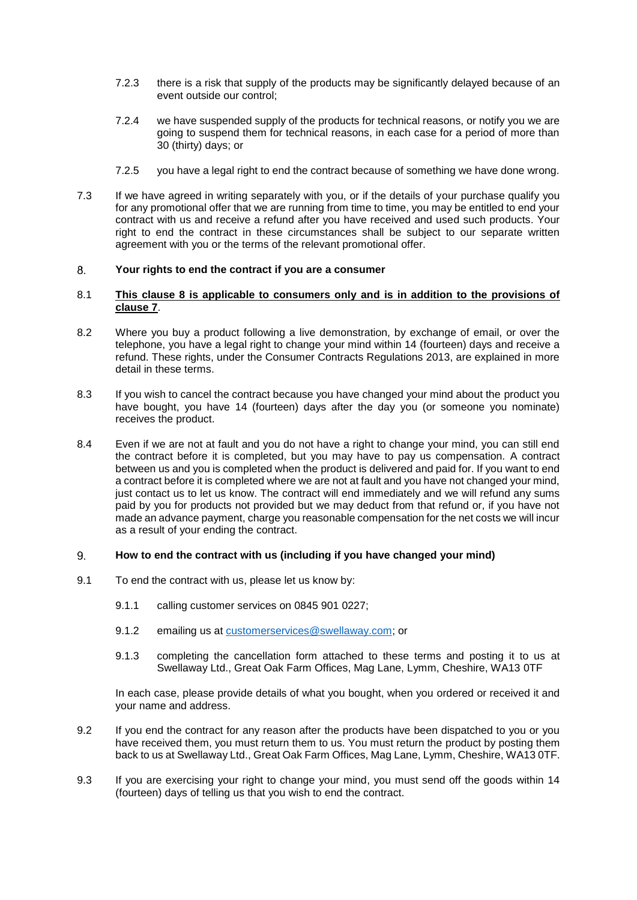- 7.2.3 there is a risk that supply of the products may be significantly delayed because of an event outside our control;
- 7.2.4 we have suspended supply of the products for technical reasons, or notify you we are going to suspend them for technical reasons, in each case for a period of more than 30 (thirty) days; or
- 7.2.5 you have a legal right to end the contract because of something we have done wrong.
- <span id="page-3-5"></span><span id="page-3-3"></span>7.3 If we have agreed in writing separately with you, or if the details of your purchase qualify you for any promotional offer that we are running from time to time, you may be entitled to end your contract with us and receive a refund after you have received and used such products. Your right to end the contract in these circumstances shall be subject to our separate written agreement with you or the terms of the relevant promotional offer.

### <span id="page-3-0"></span>8. **Your rights to end the contract if you are a consumer**

## 8.1 **This clause [8](#page-3-0) is applicable to consumers only and is in addition to the provisions of clause [7](#page-2-5)**.

- <span id="page-3-1"></span>8.2 Where you buy a product following a live demonstration, by exchange of email, or over the telephone, you have a legal right to change your mind within 14 (fourteen) days and receive a refund. These rights, under the Consumer Contracts Regulations 2013, are explained in more detail in these terms.
- <span id="page-3-2"></span>8.3 If you wish to cancel the contract because you have changed your mind about the product you have bought, you have 14 (fourteen) days after the day you (or someone you nominate) receives the product.
- <span id="page-3-4"></span>8.4 Even if we are not at fault and you do not have a right to change your mind, you can still end the contract before it is completed, but you may have to pay us compensation. A contract between us and you is completed when the product is delivered and paid for. If you want to end a contract before it is completed where we are not at fault and you have not changed your mind, just contact us to let us know. The contract will end immediately and we will refund any sums paid by you for products not provided but we may deduct from that refund or, if you have not made an advance payment, charge you reasonable compensation for the net costs we will incur as a result of your ending the contract.

### **How to end the contract with us (including if you have changed your mind)** 9.

- 9.1 To end the contract with us, please let us know by:
	- 9.1.1 calling customer services on 0845 901 0227;
	- 9.1.2 emailing us at [customerservices@swellaway.com;](mailto:customerservices@swellaway.com) or
	- 9.1.3 completing the cancellation form attached to these terms and posting it to us at Swellaway Ltd., Great Oak Farm Offices, Mag Lane, Lymm, Cheshire, WA13 0TF

In each case, please provide details of what you bought, when you ordered or received it and your name and address.

- 9.2 If you end the contract for any reason after the products have been dispatched to you or you have received them, you must return them to us. You must return the product by posting them back to us at Swellaway Ltd., Great Oak Farm Offices, Mag Lane, Lymm, Cheshire, WA13 0TF.
- 9.3 If you are exercising your right to change your mind, you must send off the goods within 14 (fourteen) days of telling us that you wish to end the contract.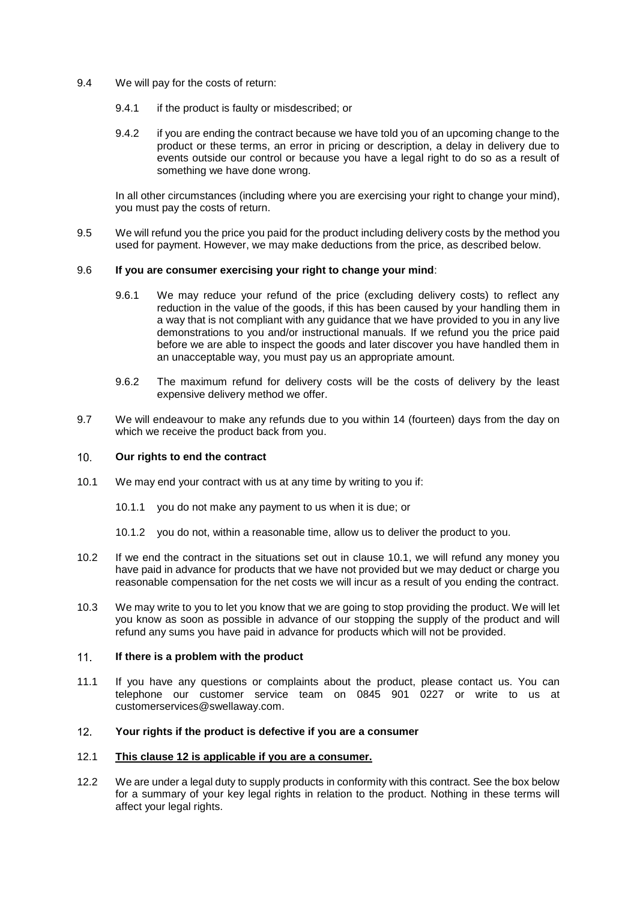- 9.4 We will pay for the costs of return:
	- 9.4.1 if the product is faulty or misdescribed; or
	- 9.4.2 if you are ending the contract because we have told you of an upcoming change to the product or these terms, an error in pricing or description, a delay in delivery due to events outside our control or because you have a legal right to do so as a result of something we have done wrong.

In all other circumstances (including where you are exercising your right to change your mind), you must pay the costs of return.

9.5 We will refund you the price you paid for the product including delivery costs by the method you used for payment. However, we may make deductions from the price, as described below.

## 9.6 **If you are consumer exercising your right to change your mind**:

- 9.6.1 We may reduce your refund of the price (excluding delivery costs) to reflect any reduction in the value of the goods, if this has been caused by your handling them in a way that is not compliant with any guidance that we have provided to you in any live demonstrations to you and/or instructional manuals. If we refund you the price paid before we are able to inspect the goods and later discover you have handled them in an unacceptable way, you must pay us an appropriate amount.
- 9.6.2 The maximum refund for delivery costs will be the costs of delivery by the least expensive delivery method we offer.
- 9.7 We will endeavour to make any refunds due to you within 14 (fourteen) days from the day on which we receive the product back from you.

### $10.$ **Our rights to end the contract**

- <span id="page-4-1"></span>10.1 We may end your contract with us at any time by writing to you if:
	- 10.1.1 you do not make any payment to us when it is due; or
	- 10.1.2 you do not, within a reasonable time, allow us to deliver the product to you.
- 10.2 If we end the contract in the situations set out in clause [10.1,](#page-4-1) we will refund any money you have paid in advance for products that we have not provided but we may deduct or charge you reasonable compensation for the net costs we will incur as a result of you ending the contract.
- 10.3 We may write to you to let you know that we are going to stop providing the product. We will let you know as soon as possible in advance of our stopping the supply of the product and will refund any sums you have paid in advance for products which will not be provided.

### **If there is a problem with the product**  $11<sub>1</sub>$

11.1 If you have any questions or complaints about the product, please contact us. You can telephone our customer service team on 0845 901 0227 or write to us at customerservices@swellaway.com.

### <span id="page-4-0"></span> $12<sub>1</sub>$ **Your rights if the product is defective if you are a consumer**

# 12.1 **This clause [12](#page-4-0) is applicable if you are a consumer.**

<span id="page-4-2"></span>12.2 We are under a legal duty to supply products in conformity with this contract. See the box below for a summary of your key legal rights in relation to the product. Nothing in these terms will affect your legal rights.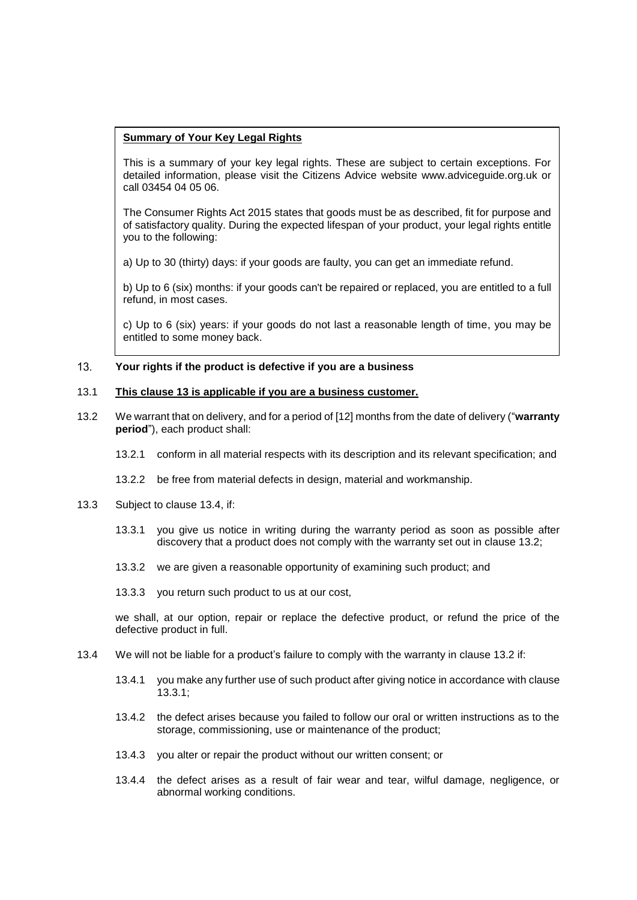# **Summary of Your Key Legal Rights**

This is a summary of your key legal rights. These are subject to certain exceptions. For detailed information, please visit the Citizens Advice website www.adviceguide.org.uk or call 03454 04 05 06.

The Consumer Rights Act 2015 states that goods must be as described, fit for purpose and of satisfactory quality. During the expected lifespan of your product, your legal rights entitle you to the following:

a) Up to 30 (thirty) days: if your goods are faulty, you can get an immediate refund.

b) Up to 6 (six) months: if your goods can't be repaired or replaced, you are entitled to a full refund, in most cases.

c) Up to 6 (six) years: if your goods do not last a reasonable length of time, you may be entitled to some money back.

#### <span id="page-5-0"></span> $13.$ **Your rights if the product is defective if you are a business**

# 13.1 **This clause [13](#page-5-0) is applicable if you are a business customer.**

- <span id="page-5-2"></span>13.2 We warrant that on delivery, and for a period of [12] months from the date of delivery ("**warranty period**"), each product shall:
	- 13.2.1 conform in all material respects with its description and its relevant specification; and
	- 13.2.2 be free from material defects in design, material and workmanship.
- <span id="page-5-4"></span><span id="page-5-3"></span>13.3 Subject to clause [13.4,](#page-5-1) if:
	- 13.3.1 you give us notice in writing during the warranty period as soon as possible after discovery that a product does not comply with the warranty set out in clause [13.2;](#page-5-2)
	- 13.3.2 we are given a reasonable opportunity of examining such product; and
	- 13.3.3 you return such product to us at our cost,

we shall, at our option, repair or replace the defective product, or refund the price of the defective product in full.

- <span id="page-5-1"></span>13.4 We will not be liable for a product's failure to comply with the warranty in clause [13.2](#page-5-2) if:
	- 13.4.1 you make any further use of such product after giving notice in accordance with clause [13.3.1;](#page-5-3)
	- 13.4.2 the defect arises because you failed to follow our oral or written instructions as to the storage, commissioning, use or maintenance of the product;
	- 13.4.3 you alter or repair the product without our written consent; or
	- 13.4.4 the defect arises as a result of fair wear and tear, wilful damage, negligence, or abnormal working conditions.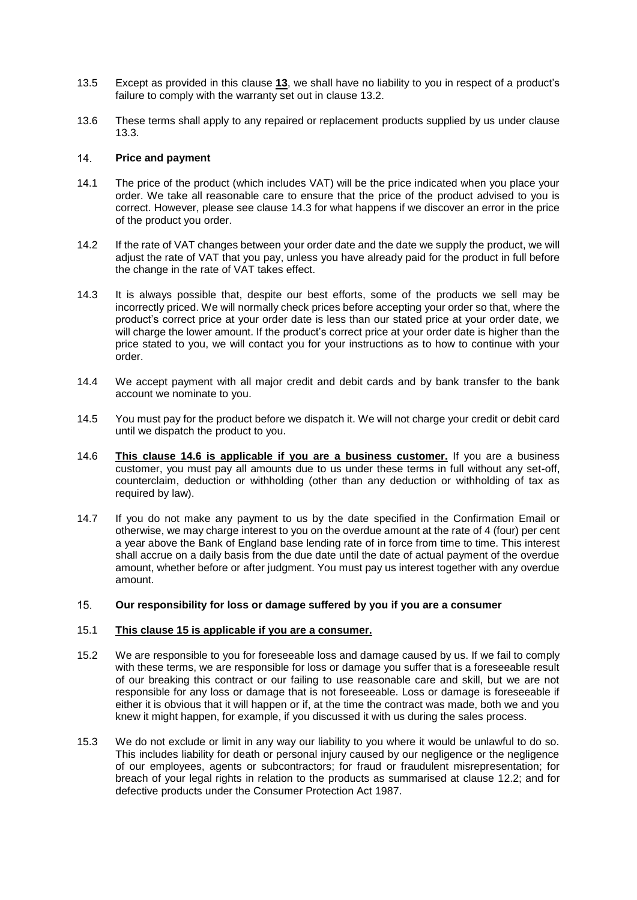- 13.5 Except as provided in this clause **[13](#page-5-0)**, we shall have no liability to you in respect of a product's failure to comply with the warranty set out in clause [13.2.](#page-5-2)
- 13.6 These terms shall apply to any repaired or replacement products supplied by us under clause [13.3.](#page-5-4)

## $14$ **Price and payment**

- 14.1 The price of the product (which includes VAT) will be the price indicated when you place your order. We take all reasonable care to ensure that the price of the product advised to you is correct. However, please see clause [14.3](#page-6-0) for what happens if we discover an error in the price of the product you order.
- 14.2 If the rate of VAT changes between your order date and the date we supply the product, we will adjust the rate of VAT that you pay, unless you have already paid for the product in full before the change in the rate of VAT takes effect.
- <span id="page-6-0"></span>14.3 It is always possible that, despite our best efforts, some of the products we sell may be incorrectly priced. We will normally check prices before accepting your order so that, where the product's correct price at your order date is less than our stated price at your order date, we will charge the lower amount. If the product's correct price at your order date is higher than the price stated to you, we will contact you for your instructions as to how to continue with your order.
- 14.4 We accept payment with all major credit and debit cards and by bank transfer to the bank account we nominate to you.
- 14.5 You must pay for the product before we dispatch it. We will not charge your credit or debit card until we dispatch the product to you.
- 14.6 **This clause 14.6 is applicable if you are a business customer.** If you are a business customer, you must pay all amounts due to us under these terms in full without any set-off, counterclaim, deduction or withholding (other than any deduction or withholding of tax as required by law).
- 14.7 If you do not make any payment to us by the date specified in the Confirmation Email or otherwise, we may charge interest to you on the overdue amount at the rate of 4 (four) per cent a year above the Bank of England base lending rate of in force from time to time. This interest shall accrue on a daily basis from the due date until the date of actual payment of the overdue amount, whether before or after judgment. You must pay us interest together with any overdue amount.

### <span id="page-6-1"></span> $15.$ **Our responsibility for loss or damage suffered by you if you are a consumer**

## 15.1 **This clause [15](#page-6-1) is applicable if you are a consumer.**

- 15.2 We are responsible to you for foreseeable loss and damage caused by us. If we fail to comply with these terms, we are responsible for loss or damage you suffer that is a foreseeable result of our breaking this contract or our failing to use reasonable care and skill, but we are not responsible for any loss or damage that is not foreseeable. Loss or damage is foreseeable if either it is obvious that it will happen or if, at the time the contract was made, both we and you knew it might happen, for example, if you discussed it with us during the sales process.
- 15.3 We do not exclude or limit in any way our liability to you where it would be unlawful to do so. This includes liability for death or personal injury caused by our negligence or the negligence of our employees, agents or subcontractors; for fraud or fraudulent misrepresentation; for breach of your legal rights in relation to the products as summarised at clause [12.2;](#page-4-2) and for defective products under the Consumer Protection Act 1987.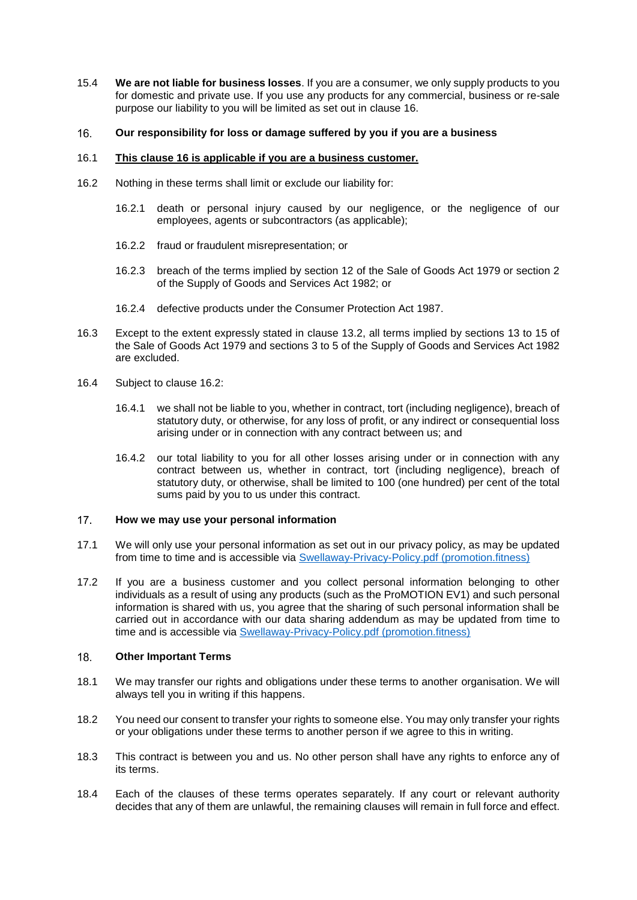15.4 **We are not liable for business losses**. If you are a consumer, we only supply products to you for domestic and private use. If you use any products for any commercial, business or re-sale purpose our liability to you will be limited as set out in clause [16.](#page-7-0)

### <span id="page-7-0"></span> $16.$ **Our responsibility for loss or damage suffered by you if you are a business**

## 16.1 **This clause [16](#page-7-0) is applicable if you are a business customer.**

- 16.2 Nothing in these terms shall limit or exclude our liability for:
	- 16.2.1 death or personal injury caused by our negligence, or the negligence of our employees, agents or subcontractors (as applicable);
	- 16.2.2 fraud or fraudulent misrepresentation; or
	- 16.2.3 breach of the terms implied by section 12 of the Sale of Goods Act 1979 or section 2 of the Supply of Goods and Services Act 1982; or
	- 16.2.4 defective products under the Consumer Protection Act 1987.
- 16.3 Except to the extent expressly stated in clause 13.2, all terms implied by sections 13 to 15 of the Sale of Goods Act 1979 and sections 3 to 5 of the Supply of Goods and Services Act 1982 are excluded.
- 16.4 Subject to clause 16.2:
	- 16.4.1 we shall not be liable to you, whether in contract, tort (including negligence), breach of statutory duty, or otherwise, for any loss of profit, or any indirect or consequential loss arising under or in connection with any contract between us; and
	- 16.4.2 our total liability to you for all other losses arising under or in connection with any contract between us, whether in contract, tort (including negligence), breach of statutory duty, or otherwise, shall be limited to 100 (one hundred) per cent of the total sums paid by you to us under this contract.

### $17<sub>1</sub>$ **How we may use your personal information**

- 17.1 We will only use your personal information as set out in our privacy policy, as may be updated from time to time and is accessible via [Swellaway-Privacy-Policy.pdf \(promotion.fitness\)](https://promotion.fitness/wp-content/uploads/2021/10/Swellaway-Privacy-Policy.pdf)
- 17.2 If you are a business customer and you collect personal information belonging to other individuals as a result of using any products (such as the ProMOTION EV1) and such personal information is shared with us, you agree that the sharing of such personal information shall be carried out in accordance with our data sharing addendum as may be updated from time to time and is accessible via [Swellaway-Privacy-Policy.pdf \(promotion.fitness\)](https://promotion.fitness/wp-content/uploads/2021/10/Swellaway-Privacy-Policy.pdf)

### $18<sub>1</sub>$ **Other Important Terms**

- 18.1 We may transfer our rights and obligations under these terms to another organisation. We will always tell you in writing if this happens.
- 18.2 You need our consent to transfer your rights to someone else. You may only transfer your rights or your obligations under these terms to another person if we agree to this in writing.
- 18.3 This contract is between you and us. No other person shall have any rights to enforce any of its terms.
- 18.4 Each of the clauses of these terms operates separately. If any court or relevant authority decides that any of them are unlawful, the remaining clauses will remain in full force and effect.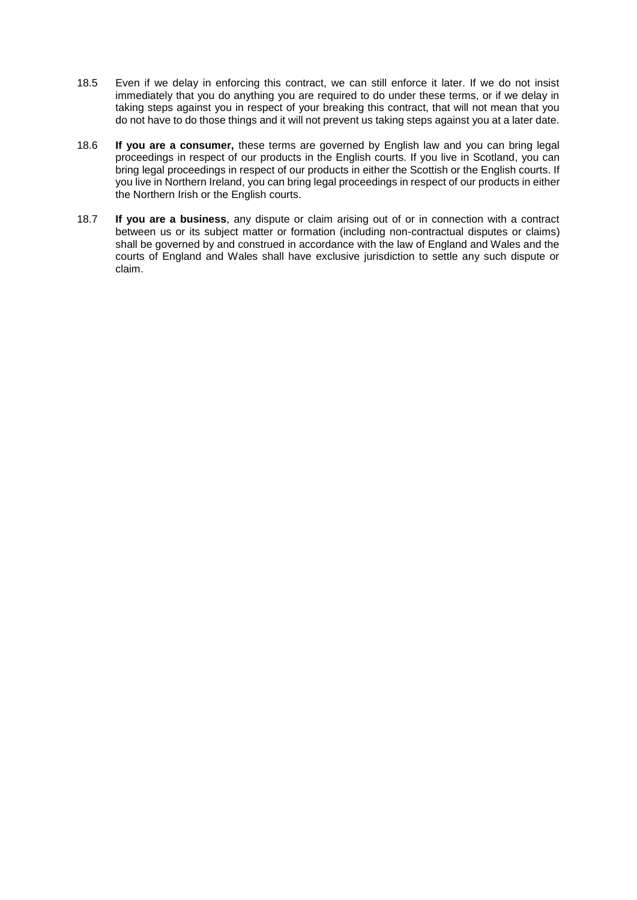- 18.5 Even if we delay in enforcing this contract, we can still enforce it later. If we do not insist immediately that you do anything you are required to do under these terms, or if we delay in taking steps against you in respect of your breaking this contract, that will not mean that you do not have to do those things and it will not prevent us taking steps against you at a later date.
- 18.6 **If you are a consumer,** these terms are governed by English law and you can bring legal proceedings in respect of our products in the English courts. If you live in Scotland, you can bring legal proceedings in respect of our products in either the Scottish or the English courts. If you live in Northern Ireland, you can bring legal proceedings in respect of our products in either the Northern Irish or the English courts.
- 18.7 **If you are a business**, any dispute or claim arising out of or in connection with a contract between us or its subject matter or formation (including non-contractual disputes or claims) shall be governed by and construed in accordance with the law of England and Wales and the courts of England and Wales shall have exclusive jurisdiction to settle any such dispute or claim.